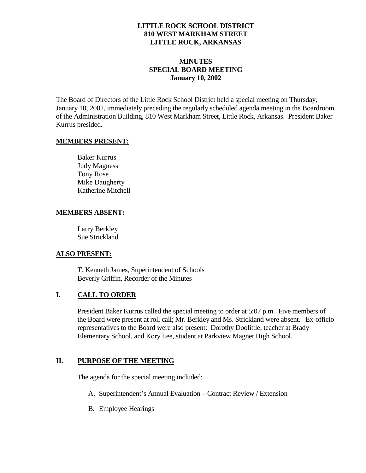#### **LITTLE ROCK SCHOOL DISTRICT 810 WEST MARKHAM STREET LITTLE ROCK, ARKANSAS**

#### **MINUTES SPECIAL BOARD MEETING January 10, 2002**

The Board of Directors of the Little Rock School District held a special meeting on Thursday, January 10, 2002, immediately preceding the regularly scheduled agenda meeting in the Boardroom of the Administration Building, 810 West Markham Street, Little Rock, Arkansas. President Baker Kurrus presided.

#### **MEMBERS PRESENT:**

Baker Kurrus Judy Magness Tony Rose Mike Daugherty Katherine Mitchell

#### **MEMBERS ABSENT:**

Larry Berkley Sue Strickland

# **ALSO PRESENT:**

T. Kenneth James, Superintendent of Schools Beverly Griffin, Recorder of the Minutes

# **I. CALL TO ORDER**

President Baker Kurrus called the special meeting to order at 5:07 p.m. Five members of the Board were present at roll call; Mr. Berkley and Ms. Strickland were absent. Ex-officio representatives to the Board were also present: Dorothy Doolittle, teacher at Brady Elementary School, and Kory Lee, student at Parkview Magnet High School.

# **II. PURPOSE OF THE MEETING**

The agenda for the special meeting included:

- A. Superintendent's Annual Evaluation Contract Review / Extension
- B. Employee Hearings